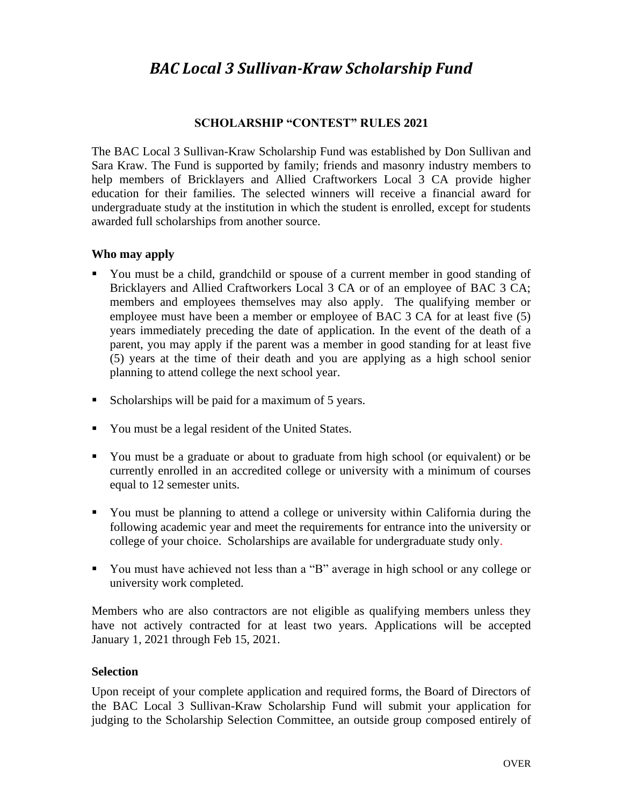# *BAC Local 3 Sullivan-Kraw Scholarship Fund*

#### **SCHOLARSHIP "CONTEST" RULES 2021**

The BAC Local 3 Sullivan-Kraw Scholarship Fund was established by Don Sullivan and Sara Kraw. The Fund is supported by family; friends and masonry industry members to help members of Bricklayers and Allied Craftworkers Local 3 CA provide higher education for their families. The selected winners will receive a financial award for undergraduate study at the institution in which the student is enrolled, except for students awarded full scholarships from another source.

#### **Who may apply**

- You must be a child, grandchild or spouse of a current member in good standing of Bricklayers and Allied Craftworkers Local 3 CA or of an employee of BAC 3 CA; members and employees themselves may also apply. The qualifying member or employee must have been a member or employee of BAC 3 CA for at least five (5) years immediately preceding the date of application. In the event of the death of a parent, you may apply if the parent was a member in good standing for at least five (5) years at the time of their death and you are applying as a high school senior planning to attend college the next school year.
- Scholarships will be paid for a maximum of 5 years.
- You must be a legal resident of the United States.
- You must be a graduate or about to graduate from high school (or equivalent) or be currently enrolled in an accredited college or university with a minimum of courses equal to 12 semester units.
- You must be planning to attend a college or university within California during the following academic year and meet the requirements for entrance into the university or college of your choice. Scholarships are available for undergraduate study only.
- You must have achieved not less than a "B" average in high school or any college or university work completed.

Members who are also contractors are not eligible as qualifying members unless they have not actively contracted for at least two years. Applications will be accepted January 1, 2021 through Feb 15, 2021.

#### **Selection**

Upon receipt of your complete application and required forms, the Board of Directors of the BAC Local 3 Sullivan-Kraw Scholarship Fund will submit your application for judging to the Scholarship Selection Committee, an outside group composed entirely of